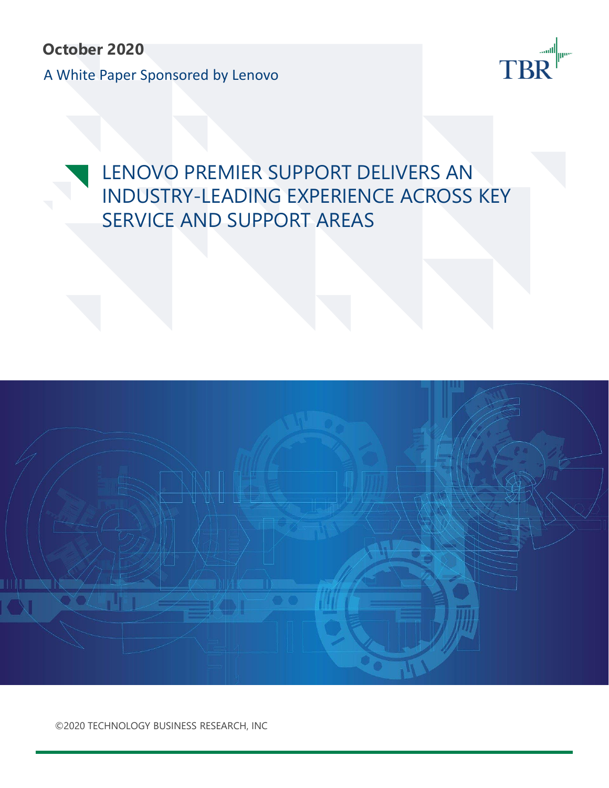**October 2020** A White Paper Sponsored by Lenovo



# LENOVO PREMIER SUPPORT DELIVERS AN INDUSTRY-LEADING EXPERIENCE ACROSS KEY SERVICE AND SUPPORT AREAS



©2020 TECHNOLOGY BUSINESS RESEARCH, INC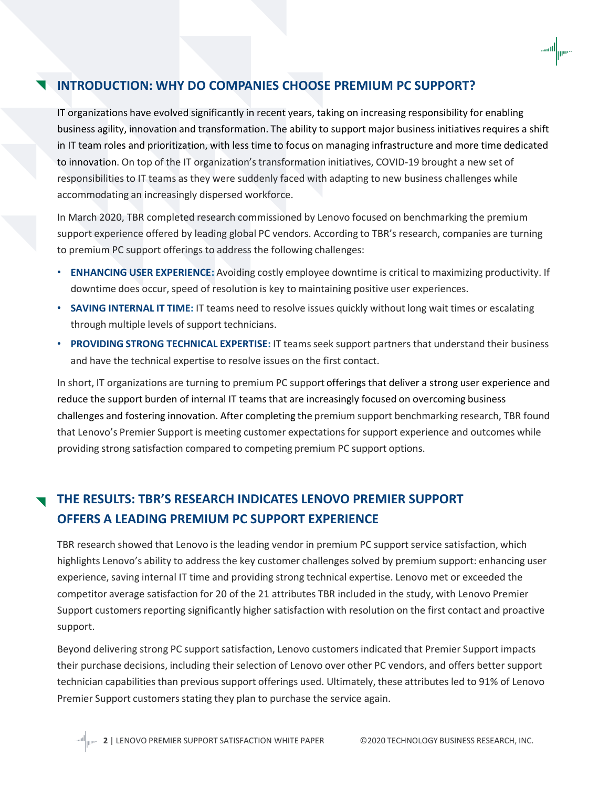## **INTRODUCTION: WHY DO COMPANIES CHOOSE PREMIUM PC SUPPORT?**

IT organizations have evolved significantly in recent years, taking on increasing responsibility for enabling business agility, innovation and transformation. The ability to support major business initiatives requires a shift in IT team roles and prioritization, with less time to focus on managing infrastructure and more time dedicated to innovation. On top of the IT organization's transformation initiatives, COVID-19 brought a new set of responsibilities to IT teams as they were suddenly faced with adapting to new business challenges while accommodating an increasingly dispersed workforce.

In March 2020, TBR completed research commissioned by Lenovo focused on benchmarking the premium support experience offered by leading global PC vendors. According to TBR's research, companies are turning to premium PC support offerings to address the following challenges:

- **ENHANCING USER EXPERIENCE:** Avoiding costly employee downtime is critical to maximizing productivity. If downtime does occur, speed of resolution is key to maintaining positive user experiences.
- **SAVING INTERNAL IT TIME:** IT teams need to resolve issues quickly without long wait times or escalating through multiple levels of support technicians.
- **PROVIDING STRONG TECHNICAL EXPERTISE:** IT teams seek support partners that understand their business and have the technical expertise to resolve issues on the first contact.

In short, IT organizations are turning to premium PC support offerings that deliver a strong user experience and reduce the support burden of internal IT teams that are increasingly focused on overcoming business challenges and fostering innovation. After completing the premium support benchmarking research, TBR found that Lenovo's Premier Support is meeting customer expectations for support experience and outcomes while providing strong satisfaction compared to competing premium PC support options.

## **THE RESULTS: TBR'S RESEARCH INDICATES LENOVO PREMIER SUPPORT OFFERS A LEADING PREMIUM PC SUPPORT EXPERIENCE**

TBR research showed that Lenovo is the leading vendor in premium PC support service satisfaction, which highlights Lenovo's ability to address the key customer challenges solved by premium support: enhancing user experience, saving internal IT time and providing strong technical expertise. Lenovo met or exceeded the competitor average satisfaction for 20 of the 21 attributes TBR included in the study, with Lenovo Premier Support customers reporting significantly higher satisfaction with resolution on the first contact and proactive support.

Beyond delivering strong PC support satisfaction, Lenovo customers indicated that Premier Support impacts their purchase decisions, including their selection of Lenovo over other PC vendors, and offers better support technician capabilities than previous support offerings used. Ultimately, these attributes led to 91% of Lenovo Premier Support customers stating they plan to purchase the service again.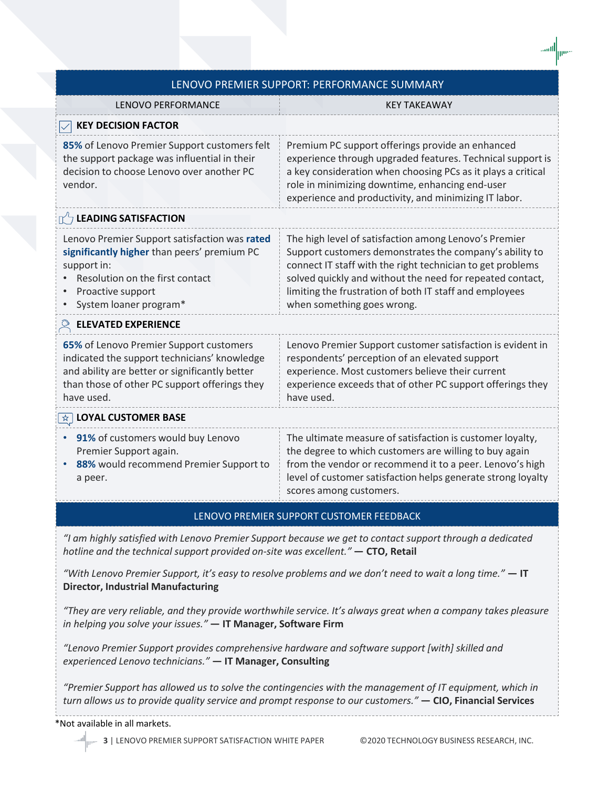| LENOVO PREMIER SUPPORT: PERFORMANCE SUMMARY                                                                                                                                                              |                                                                                                                                                                                                                                                                                                                                      |
|----------------------------------------------------------------------------------------------------------------------------------------------------------------------------------------------------------|--------------------------------------------------------------------------------------------------------------------------------------------------------------------------------------------------------------------------------------------------------------------------------------------------------------------------------------|
| <b>LENOVO PERFORMANCE</b>                                                                                                                                                                                | <b>KEY TAKEAWAY</b>                                                                                                                                                                                                                                                                                                                  |
| <b>KEY DECISION FACTOR</b>                                                                                                                                                                               |                                                                                                                                                                                                                                                                                                                                      |
| 85% of Lenovo Premier Support customers felt<br>the support package was influential in their<br>decision to choose Lenovo over another PC<br>vendor.                                                     | Premium PC support offerings provide an enhanced<br>experience through upgraded features. Technical support is<br>a key consideration when choosing PCs as it plays a critical<br>role in minimizing downtime, enhancing end-user<br>experience and productivity, and minimizing IT labor.                                           |
| $\Gamma$ LEADING SATISFACTION                                                                                                                                                                            |                                                                                                                                                                                                                                                                                                                                      |
| Lenovo Premier Support satisfaction was rated<br>significantly higher than peers' premium PC<br>support in:<br>Resolution on the first contact<br>Proactive support<br>System loaner program*            | The high level of satisfaction among Lenovo's Premier<br>Support customers demonstrates the company's ability to<br>connect IT staff with the right technician to get problems<br>solved quickly and without the need for repeated contact,<br>limiting the frustration of both IT staff and employees<br>when something goes wrong. |
| <b>ELEVATED EXPERIENCE</b>                                                                                                                                                                               |                                                                                                                                                                                                                                                                                                                                      |
| 65% of Lenovo Premier Support customers<br>indicated the support technicians' knowledge<br>and ability are better or significantly better<br>than those of other PC support offerings they<br>have used. | Lenovo Premier Support customer satisfaction is evident in<br>respondents' perception of an elevated support<br>experience. Most customers believe their current<br>experience exceeds that of other PC support offerings they<br>have used.                                                                                         |
| $\star$ LOYAL CUSTOMER BASE                                                                                                                                                                              |                                                                                                                                                                                                                                                                                                                                      |
| 91% of customers would buy Lenovo<br>Premier Support again.<br>88% would recommend Premier Support to<br>a peer.                                                                                         | The ultimate measure of satisfaction is customer loyalty,<br>the degree to which customers are willing to buy again<br>from the vendor or recommend it to a peer. Lenovo's high<br>level of customer satisfaction helps generate strong loyalty<br>scores among customers.                                                           |
| LENOVO PREMIER SUPPORT CUSTOMER FEEDBACK                                                                                                                                                                 |                                                                                                                                                                                                                                                                                                                                      |
| "I am highly satisfied with Lenovo Premier Support because we get to contact support through a dedicated<br>hotline and the technical support provided on-site was excellent." - CTO, Retail             |                                                                                                                                                                                                                                                                                                                                      |

*"With Lenovo Premier Support, it's easy to resolve problems and we don't need to wait a long time."* **— IT Director, Industrial Manufacturing**

*"They are very reliable, and they provide worthwhile service. It's always great when a company takes pleasure in helping you solve your issues."* **— IT Manager, Software Firm**

*"Lenovo Premier Support provides comprehensive hardware and software support [with] skilled and experienced Lenovo technicians."* **— IT Manager, Consulting**

*"Premier Support has allowed us to solve the contingencies with the management of IT equipment, which in turn allows us to provide quality service and prompt response to our customers."* **— CIO, Financial Services**

#### \*Not available in all markets.

**|||⊪™ 3 | LENOVO PREMIER SUPPORT SATISFACTION WHITE PAPER © 2020 TECHNOLOGY BUSINESS RESEARCH, INC.**